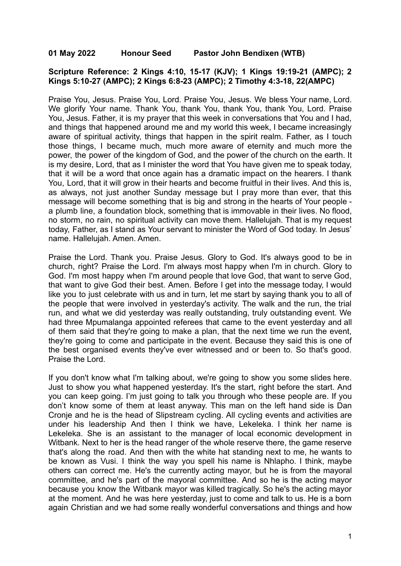## **01 May 2022 Honour Seed Pastor John Bendixen (WTB)**

#### **Scripture Reference: 2 Kings 4:10, 15-17 (KJV); 1 Kings 19:19-21 (AMPC); 2 Kings 5:10-27 (AMPC); 2 Kings 6:8-23 (AMPC); 2 Timothy 4:3-18, 22(AMPC)**

Praise You, Jesus. Praise You, Lord. Praise You, Jesus. We bless Your name, Lord. We glorify Your name. Thank You, thank You, thank You, thank You, Lord. Praise You, Jesus. Father, it is my prayer that this week in conversations that You and I had, and things that happened around me and my world this week, I became increasingly aware of spiritual activity, things that happen in the spirit realm. Father, as I touch those things, I became much, much more aware of eternity and much more the power, the power of the kingdom of God, and the power of the church on the earth. It is my desire, Lord, that as I minister the word that You have given me to speak today, that it will be a word that once again has a dramatic impact on the hearers. I thank You, Lord, that it will grow in their hearts and become fruitful in their lives. And this is, as always, not just another Sunday message but I pray more than ever, that this message will become something that is big and strong in the hearts of Your people a plumb line, a foundation block, something that is immovable in their lives. No flood, no storm, no rain, no spiritual activity can move them. Hallelujah. That is my request today, Father, as I stand as Your servant to minister the Word of God today. In Jesus' name. Hallelujah. Amen. Amen.

Praise the Lord. Thank you. Praise Jesus. Glory to God. It's always good to be in church, right? Praise the Lord. I'm always most happy when I'm in church. Glory to God. I'm most happy when I'm around people that love God, that want to serve God, that want to give God their best. Amen. Before I get into the message today, I would like you to just celebrate with us and in turn, let me start by saying thank you to all of the people that were involved in yesterday's activity. The walk and the run, the trial run, and what we did yesterday was really outstanding, truly outstanding event. We had three Mpumalanga appointed referees that came to the event yesterday and all of them said that they're going to make a plan, that the next time we run the event, they're going to come and participate in the event. Because they said this is one of the best organised events they've ever witnessed and or been to. So that's good. Praise the Lord.

If you don't know what I'm talking about, we're going to show you some slides here. Just to show you what happened yesterday. It's the start, right before the start. And you can keep going. I'm just going to talk you through who these people are. If you don't know some of them at least anyway. This man on the left hand side is Dan Cronje and he is the head of Slipstream cycling. All cycling events and activities are under his leadership And then I think we have, Lekeleka. I think her name is Lekeleka. She is an assistant to the manager of local economic development in Witbank. Next to her is the head ranger of the whole reserve there, the game reserve that's along the road. And then with the white hat standing next to me, he wants to be known as Vusi. I think the way you spell his name is Nhlapho. I think, maybe others can correct me. He's the currently acting mayor, but he is from the mayoral committee, and he's part of the mayoral committee. And so he is the acting mayor because you know the Witbank mayor was killed tragically. So he's the acting mayor at the moment. And he was here yesterday, just to come and talk to us. He is a born again Christian and we had some really wonderful conversations and things and how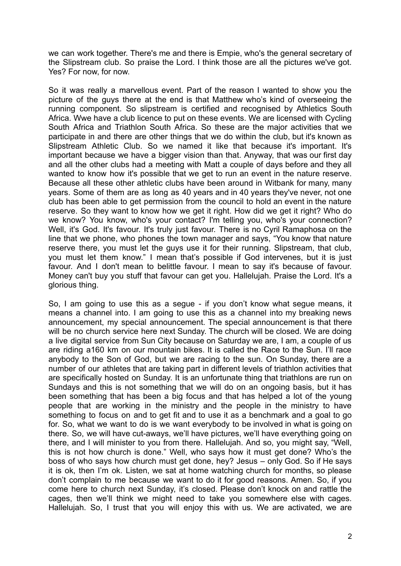we can work together. There's me and there is Empie, who's the general secretary of the Slipstream club. So praise the Lord. I think those are all the pictures we've got. Yes? For now, for now.

So it was really a marvellous event. Part of the reason I wanted to show you the picture of the guys there at the end is that Matthew who's kind of overseeing the running component. So slipstream is certified and recognised by Athletics South Africa. Wwe have a club licence to put on these events. We are licensed with Cycling South Africa and Triathlon South Africa. So these are the major activities that we participate in and there are other things that we do within the club, but it's known as Slipstream Athletic Club. So we named it like that because it's important. It's important because we have a bigger vision than that. Anyway, that was our first day and all the other clubs had a meeting with Matt a couple of days before and they all wanted to know how it's possible that we get to run an event in the nature reserve. Because all these other athletic clubs have been around in Witbank for many, many years. Some of them are as long as 40 years and in 40 years they've never, not one club has been able to get permission from the council to hold an event in the nature reserve. So they want to know how we get it right. How did we get it right? Who do we know? You know, who's your contact? I'm telling you, who's your connection? Well, it's God. It's favour. It's truly just favour. There is no Cyril Ramaphosa on the line that we phone, who phones the town manager and says, "You know that nature reserve there, you must let the guys use it for their running. Slipstream, that club, you must let them know." I mean that's possible if God intervenes, but it is just favour. And I don't mean to belittle favour. I mean to say it's because of favour. Money can't buy you stuff that favour can get you. Hallelujah. Praise the Lord. It's a glorious thing.

So, I am going to use this as a segue - if you don't know what segue means, it means a channel into. I am going to use this as a channel into my breaking news announcement, my special announcement. The special announcement is that there will be no church service here next Sunday. The church will be closed. We are doing a live digital service from Sun City because on Saturday we are, I am, a couple of us are riding a160 km on our mountain bikes. It is called the Race to the Sun. I'll race anybody to the Son of God, but we are racing to the sun. On Sunday, there are a number of our athletes that are taking part in different levels of triathlon activities that are specifically hosted on Sunday. It is an unfortunate thing that triathlons are run on Sundays and this is not something that we will do on an ongoing basis, but it has been something that has been a big focus and that has helped a lot of the young people that are working in the ministry and the people in the ministry to have something to focus on and to get fit and to use it as a benchmark and a goal to go for. So, what we want to do is we want everybody to be involved in what is going on there. So, we will have cut-aways, we'll have pictures, we'll have everything going on there, and I will minister to you from there. Hallelujah. And so, you might say, "Well, this is not how church is done." Well, who says how it must get done? Who's the boss of who says how church must get done, hey? Jesus – only God. So if He says it is ok, then I'm ok. Listen, we sat at home watching church for months, so please don't complain to me because we want to do it for good reasons. Amen. So, if you come here to church next Sunday, it's closed. Please don't knock on and rattle the cages, then we'll think we might need to take you somewhere else with cages. Hallelujah. So, I trust that you will enjoy this with us. We are activated, we are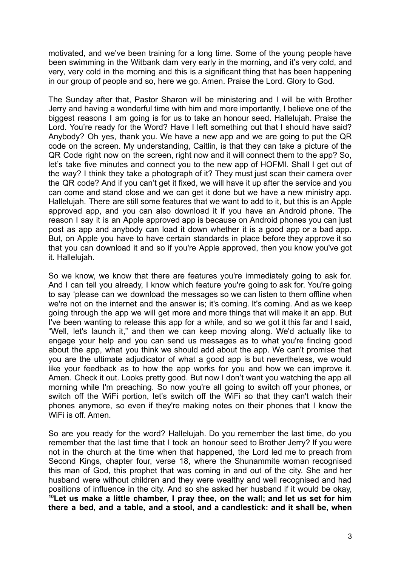motivated, and we've been training for a long time. Some of the young people have been swimming in the Witbank dam very early in the morning, and it's very cold, and very, very cold in the morning and this is a significant thing that has been happening in our group of people and so, here we go. Amen. Praise the Lord. Glory to God.

The Sunday after that, Pastor Sharon will be ministering and I will be with Brother Jerry and having a wonderful time with him and more importantly, I believe one of the biggest reasons I am going is for us to take an honour seed. Hallelujah. Praise the Lord. You're ready for the Word? Have I left something out that I should have said? Anybody? Oh yes, thank you. We have a new app and we are going to put the QR code on the screen. My understanding, Caitlin, is that they can take a picture of the QR Code right now on the screen, right now and it will connect them to the app? So, let's take five minutes and connect you to the new app of HOFMI. Shall I get out of the way? I think they take a photograph of it? They must just scan their camera over the QR code? And if you can't get it fixed, we will have it up after the service and you can come and stand close and we can get it done but we have a new ministry app. Hallelujah. There are still some features that we want to add to it, but this is an Apple approved app, and you can also download it if you have an Android phone. The reason I say it is an Apple approved app is because on Android phones you can just post as app and anybody can load it down whether it is a good app or a bad app. But, on Apple you have to have certain standards in place before they approve it so that you can download it and so if you're Apple approved, then you know you've got it. Hallelujah.

So we know, we know that there are features you're immediately going to ask for. And I can tell you already, I know which feature you're going to ask for. You're going to say 'please can we download the messages so we can listen to them offline when we're not on the internet and the answer is; it's coming. It's coming. And as we keep going through the app we will get more and more things that will make it an app. But I've been wanting to release this app for a while, and so we got it this far and I said, "Well, let's launch it," and then we can keep moving along. We'd actually like to engage your help and you can send us messages as to what you're finding good about the app, what you think we should add about the app. We can't promise that you are the ultimate adjudicator of what a good app is but nevertheless, we would like your feedback as to how the app works for you and how we can improve it. Amen. Check it out. Looks pretty good. But now I don't want you watching the app all morning while I'm preaching. So now you're all going to switch off your phones, or switch off the WiFi portion, let's switch off the WiFi so that they can't watch their phones anymore, so even if they're making notes on their phones that I know the WiFi is off. Amen.

So are you ready for the word? Hallelujah. Do you remember the last time, do you remember that the last time that I took an honour seed to Brother Jerry? If you were not in the church at the time when that happened, the Lord led me to preach from Second Kings, chapter four, verse 18, where the Shunammite woman recognised this man of God, this prophet that was coming in and out of the city. She and her husband were without children and they were wealthy and well recognised and had positions of influence in the city. And so she asked her husband if it would be okay, **<sup>10</sup>Let us make a little chamber, I pray thee, on the wall; and let us set for him there a bed, and a table, and a stool, and a candlestick: and it shall be, when**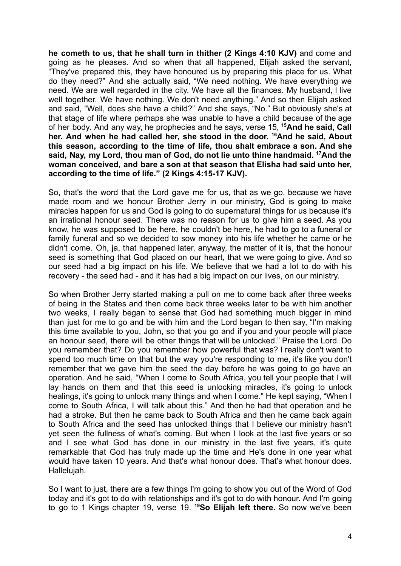**he cometh to us, that he shall turn in thither (2 Kings 4:10 KJV)** and come and going as he pleases. And so when that all happened, Elijah asked the servant, "They've prepared this, they have honoured us by preparing this place for us. What do they need?" And she actually said, "We need nothing. We have everything we need. We are well regarded in the city. We have all the finances. My husband, I live well together. We have nothing. We don't need anything." And so then Elijah asked and said, "Well, does she have a child?" And she says, "No." But obviously she's at that stage of life where perhaps she was unable to have a child because of the age of her body. And any way, he prophecies and he says, verse 15, **<sup>15</sup>And he said, Call her. And when he had called her, she stood in the door. <sup>16</sup>And he said, About this season, according to the time of life, thou shalt embrace a son. And she said, Nay, my Lord, thou man of God, do not lie unto thine handmaid. <sup>17</sup>And the woman conceived, and bare a son at that season that Elisha had said unto her, according to the time of life." (2 Kings 4:15-17 KJV).**

So, that's the word that the Lord gave me for us, that as we go, because we have made room and we honour Brother Jerry in our ministry, God is going to make miracles happen for us and God is going to do supernatural things for us because it's an irrational honour seed. There was no reason for us to give him a seed. As you know, he was supposed to be here, he couldn't be here, he had to go to a funeral or family funeral and so we decided to sow money into his life whether he came or he didn't come. Oh, ja, that happened later, anyway, the matter of it is, that the honour seed is something that God placed on our heart, that we were going to give. And so our seed had a big impact on his life. We believe that we had a lot to do with his recovery - the seed had - and it has had a big impact on our lives, on our ministry.

So when Brother Jerry started making a pull on me to come back after three weeks of being in the States and then come back three weeks later to be with him another two weeks, I really began to sense that God had something much bigger in mind than just for me to go and be with him and the Lord began to then say, "I'm making this time available to you, John, so that you go and if you and your people will place an honour seed, there will be other things that will be unlocked." Praise the Lord. Do you remember that? Do you remember how powerful that was? I really don't want to spend too much time on that but the way you're responding to me, it's like you don't remember that we gave him the seed the day before he was going to go have an operation. And he said, "When I come to South Africa, you tell your people that I will lay hands on them and that this seed is unlocking miracles, it's going to unlock healings, it's going to unlock many things and when I come." He kept saying, "When I come to South Africa, I will talk about this." And then he had that operation and he had a stroke. But then he came back to South Africa and then he came back again to South Africa and the seed has unlocked things that I believe our ministry hasn't yet seen the fullness of what's coming. But when I look at the last five years or so and I see what God has done in our ministry in the last five years, it's quite remarkable that God has truly made up the time and He's done in one year what would have taken 10 years. And that's what honour does. That's what honour does. Hallelujah.

So I want to just, there are a few things I'm going to show you out of the Word of God today and it's got to do with relationships and it's got to do with honour. And I'm going to go to 1 Kings chapter 19, verse 19. **<sup>19</sup>So Elijah left there.** So now we've been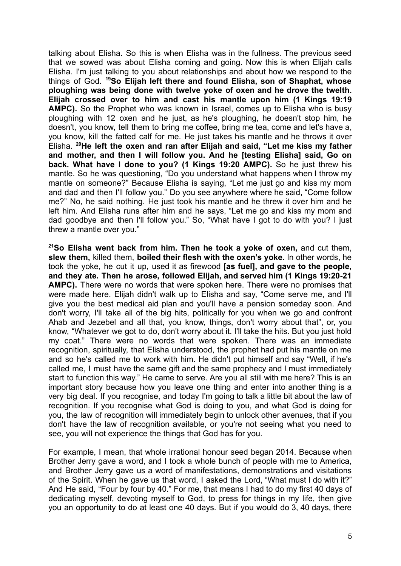talking about Elisha. So this is when Elisha was in the fullness. The previous seed that we sowed was about Elisha coming and going. Now this is when Elijah calls Elisha. I'm just talking to you about relationships and about how we respond to the things of God. **<sup>19</sup>So Elijah left there and found Elisha, son of Shaphat, whose ploughing was being done with twelve yoke of oxen and he drove the twelth. Elijah crossed over to him and cast his mantle upon him (1 Kings 19:19 AMPC).** So the Prophet who was known in Israel, comes up to Elisha who is busy ploughing with 12 oxen and he just, as he's ploughing, he doesn't stop him, he doesn't, you know, tell them to bring me coffee, bring me tea, come and let's have a, you know, kill the fatted calf for me. He just takes his mantle and he throws it over Elisha. **<sup>20</sup>He left the oxen and ran after Elijah and said, "Let me kiss my father and mother, and then I will follow you. And he [testing Elisha] said, Go on back. What have I done to you? (1 Kings 19:20 AMPC).** So he just threw his mantle. So he was questioning, "Do you understand what happens when I throw my mantle on someone?" Because Elisha is saying, "Let me just go and kiss my mom and dad and then I'll follow you." Do you see anywhere where he said, "Come follow me?" No, he said nothing. He just took his mantle and he threw it over him and he left him. And Elisha runs after him and he says, "Let me go and kiss my mom and dad goodbye and then I'll follow you." So, "What have I got to do with you? I just threw a mantle over you."

**<sup>21</sup>So Elisha went back from him. Then he took a yoke of oxen,** and cut them, **slew them,** killed them, **boiled their flesh with the oxen's yoke.** In other words, he took the yoke, he cut it up, used it as firewood **[as fuel], and gave to the people, and they ate. Then he arose, followed Elijah, and served him (1 Kings 19:20-21 AMPC).** There were no words that were spoken here. There were no promises that were made here. Elijah didn't walk up to Elisha and say, "Come serve me, and I'll give you the best medical aid plan and you'll have a pension someday soon. And don't worry, I'll take all of the big hits, politically for you when we go and confront Ahab and Jezebel and all that, you know, things, don't worry about that", or, you know, "Whatever we got to do, don't worry about it. I'll take the hits. But you just hold my coat." There were no words that were spoken. There was an immediate recognition, spiritually, that Elisha understood, the prophet had put his mantle on me and so he's called me to work with him. He didn't put himself and say "Well, if he's called me, I must have the same gift and the same prophecy and I must immediately start to function this way." He came to serve. Are you all still with me here? This is an important story because how you leave one thing and enter into another thing is a very big deal. If you recognise, and today I'm going to talk a little bit about the law of recognition. If you recognise what God is doing to you, and what God is doing for you, the law of recognition will immediately begin to unlock other avenues, that if you don't have the law of recognition available, or you're not seeing what you need to see, you will not experience the things that God has for you.

For example, I mean, that whole irrational honour seed began 2014. Because when Brother Jerry gave a word, and I took a whole bunch of people with me to America, and Brother Jerry gave us a word of manifestations, demonstrations and visitations of the Spirit. When he gave us that word, I asked the Lord, "What must I do with it?" And He said, "Four by four by 40." For me, that means I had to do my first 40 days of dedicating myself, devoting myself to God, to press for things in my life, then give you an opportunity to do at least one 40 days. But if you would do 3, 40 days, there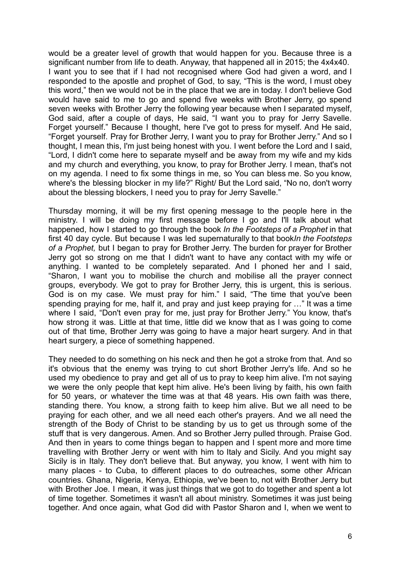would be a greater level of growth that would happen for you. Because three is a significant number from life to death. Anyway, that happened all in 2015; the 4x4x40. I want you to see that if I had not recognised where God had given a word, and I responded to the apostle and prophet of God, to say, "This is the word, I must obey this word," then we would not be in the place that we are in today. I don't believe God would have said to me to go and spend five weeks with Brother Jerry, go spend seven weeks with Brother Jerry the following year because when I separated myself, God said, after a couple of days, He said, "I want you to pray for Jerry Savelle. Forget yourself." Because I thought, here I've got to press for myself. And He said, "Forget yourself. Pray for Brother Jerry, I want you to pray for Brother Jerry." And so I thought, I mean this, I'm just being honest with you. I went before the Lord and I said, "Lord, I didn't come here to separate myself and be away from my wife and my kids and my church and everything, you know, to pray for Brother Jerry. I mean, that's not on my agenda. I need to fix some things in me, so You can bless me. So you know, where's the blessing blocker in my life?" Right/ But the Lord said, "No no, don't worry about the blessing blockers, I need you to pray for Jerry Savelle."

Thursday morning, it will be my first opening message to the people here in the ministry. I will be doing my first message before I go and I'll talk about what happened, how I started to go through the book *In the Footsteps of a Prophet* in that first 40 day cycle. But because I was led supernaturally to that book*In the Footsteps of a Prophet,* but I began to pray for Brother Jerry. The burden for prayer for Brother Jerry got so strong on me that I didn't want to have any contact with my wife or anything. I wanted to be completely separated. And I phoned her and I said, "Sharon, I want you to mobilise the church and mobilise all the prayer connect groups, everybody. We got to pray for Brother Jerry, this is urgent, this is serious. God is on my case. We must pray for him." I said, "The time that you've been spending praying for me, half it, and pray and just keep praying for …" It was a time where I said, "Don't even pray for me, just pray for Brother Jerry." You know, that's how strong it was. Little at that time, little did we know that as I was going to come out of that time, Brother Jerry was going to have a major heart surgery. And in that heart surgery, a piece of something happened.

They needed to do something on his neck and then he got a stroke from that. And so it's obvious that the enemy was trying to cut short Brother Jerry's life. And so he used my obedience to pray and get all of us to pray to keep him alive. I'm not saying we were the only people that kept him alive. He's been living by faith, his own faith for 50 years, or whatever the time was at that 48 years. His own faith was there, standing there. You know, a strong faith to keep him alive. But we all need to be praying for each other, and we all need each other's prayers. And we all need the strength of the Body of Christ to be standing by us to get us through some of the stuff that is very dangerous. Amen. And so Brother Jerry pulled through. Praise God. And then in years to come things began to happen and I spent more and more time travelling with Brother Jerry or went with him to Italy and Sicily. And you might say Sicily is in Italy. They don't believe that. But anyway, you know, I went with him to many places - to Cuba, to different places to do outreaches, some other African countries. Ghana, Nigeria, Kenya, Ethiopia, we've been to, not with Brother Jerry but with Brother Joe. I mean, it was just things that we got to do together and spent a lot of time together. Sometimes it wasn't all about ministry. Sometimes it was just being together. And once again, what God did with Pastor Sharon and I, when we went to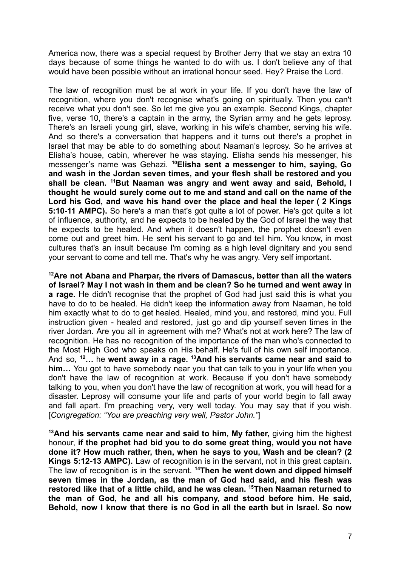America now, there was a special request by Brother Jerry that we stay an extra 10 days because of some things he wanted to do with us. I don't believe any of that would have been possible without an irrational honour seed. Hey? Praise the Lord.

The law of recognition must be at work in your life. If you don't have the law of recognition, where you don't recognise what's going on spiritually. Then you can't receive what you don't see. So let me give you an example. Second Kings, chapter five, verse 10, there's a captain in the army, the Syrian army and he gets leprosy. There's an Israeli young girl, slave, working in his wife's chamber, serving his wife. And so there's a conversation that happens and it turns out there's a prophet in Israel that may be able to do something about Naaman's leprosy. So he arrives at Elisha's house, cabin, wherever he was staying. Elisha sends his messenger, his messenger's name was Gehazi. **<sup>10</sup>Elisha sent a messenger to him, saying, Go and wash in the Jordan seven times, and your flesh shall be restored and you shall be clean. <sup>11</sup>But Naaman was angry and went away and said, Behold, I thought he would surely come out to me and stand and call on the name of the Lord his God, and wave his hand over the place and heal the leper ( 2 Kings 5:10-11 AMPC).** So here's a man that's got quite a lot of power. He's got quite a lot of influence, authority, and he expects to be healed by the God of Israel the way that he expects to be healed. And when it doesn't happen, the prophet doesn't even come out and greet him. He sent his servant to go and tell him. You know, in most cultures that's an insult because I'm coming as a high level dignitary and you send your servant to come and tell me. That's why he was angry. Very self important.

**<sup>12</sup>Are not Abana and Pharpar, the rivers of Damascus, better than all the waters of Israel? May I not wash in them and be clean? So he turned and went away in a rage.** He didn't recognise that the prophet of God had just said this is what you have to do to be healed. He didn't keep the information away from Naaman, he told him exactly what to do to get healed. Healed, mind you, and restored, mind you. Full instruction given - healed and restored, just go and dip yourself seven times in the river Jordan. Are you all in agreement with me? What's not at work here? The law of recognition. He has no recognition of the importance of the man who's connected to the Most High God who speaks on His behalf. He's full of his own self importance. And so, **<sup>12</sup>…** he **went away in a rage. <sup>13</sup>And his servants came near and said to him…** You got to have somebody near you that can talk to you in your life when you don't have the law of recognition at work. Because if you don't have somebody talking to you, when you don't have the law of recognition at work, you will head for a disaster. Leprosy will consume your life and parts of your world begin to fall away and fall apart. I'm preaching very, very well today. You may say that if you wish. [*Congregation: "You are preaching very well, Pastor John."*]

**<sup>13</sup>And his servants came near and said to him, My father,** giving him the highest honour, **if the prophet had bid you to do some great thing, would you not have done it? How much rather, then, when he says to you, Wash and be clean? (2 Kings 5:12-13 AMPC).** Law of recognition is in the servant, not in this great captain. The law of recognition is in the servant. **<sup>14</sup>Then he went down and dipped himself seven times in the Jordan, as the man of God had said, and his flesh was restored like that of a little child, and he was clean. <sup>15</sup>Then Naaman returned to the man of God, he and all his company, and stood before him. He said, Behold, now I know that there is no God in all the earth but in Israel. So now**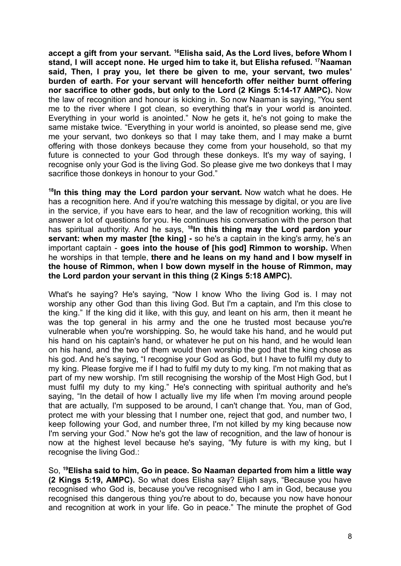**accept a gift from your servant. <sup>16</sup>Elisha said, As the Lord lives, before Whom I stand, I will accept none. He urged him to take it, but Elisha refused. <sup>17</sup>Naaman said, Then, I pray you, let there be given to me, your servant, two mules' burden of earth. For your servant will henceforth offer neither burnt offering nor sacrifice to other gods, but only to the Lord (2 Kings 5:14-17 AMPC).** Now the law of recognition and honour is kicking in. So now Naaman is saying, "You sent me to the river where I got clean, so everything that's in your world is anointed. Everything in your world is anointed." Now he gets it, he's not going to make the same mistake twice. "Everything in your world is anointed, so please send me, give me your servant, two donkeys so that I may take them, and I may make a burnt offering with those donkeys because they come from your household, so that my future is connected to your God through these donkeys. It's my way of saying, I recognise only your God is the living God. So please give me two donkeys that I may sacrifice those donkeys in honour to your God."

**18 In this thing may the Lord pardon your servant.** Now watch what he does. He has a recognition here. And if you're watching this message by digital, or you are live in the service, if you have ears to hear, and the law of recognition working, this will answer a lot of questions for you. He continues his conversation with the person that has spiritual authority. And he says, **<sup>18</sup> In this thing may the Lord pardon your servant: when my master [the king] -** so he's a captain in the king's army, he's an important captain - **goes into the house of [his god] Rimmon to worship.** When he worships in that temple, **there and he leans on my hand and I bow myself in the house of Rimmon, when I bow down myself in the house of Rimmon, may the Lord pardon your servant in this thing (2 Kings 5:18 AMPC).**

What's he saying? He's saying, "Now I know Who the living God is. I may not worship any other God than this living God. But I'm a captain, and I'm this close to the king." If the king did it like, with this guy, and leant on his arm, then it meant he was the top general in his army and the one he trusted most because you're vulnerable when you're worshipping. So, he would take his hand, and he would put his hand on his captain's hand, or whatever he put on his hand, and he would lean on his hand, and the two of them would then worship the god that the king chose as his god. And he's saying, "I recognise your God as God, but I have to fulfil my duty to my king. Please forgive me if I had to fulfil my duty to my king. I'm not making that as part of my new worship. I'm still recognising the worship of the Most High God, but I must fulfil my duty to my king." He's connecting with spiritual authority and he's saying, "In the detail of how I actually live my life when I'm moving around people that are actually, I'm supposed to be around, I can't change that. You, man of God, protect me with your blessing that I number one, reject that god, and number two, I keep following your God, and number three, I'm not killed by my king because now I'm serving your God." Now he's got the law of recognition, and the law of honour is now at the highest level because he's saying, "My future is with my king, but I recognise the living God.:

So, **<sup>19</sup>Elisha said to him, Go in peace. So Naaman departed from him a little way (2 Kings 5:19, AMPC).** So what does Elisha say? Elijah says, "Because you have recognised who God is, because you've recognised who I am in God, because you recognised this dangerous thing you're about to do, because you now have honour and recognition at work in your life. Go in peace." The minute the prophet of God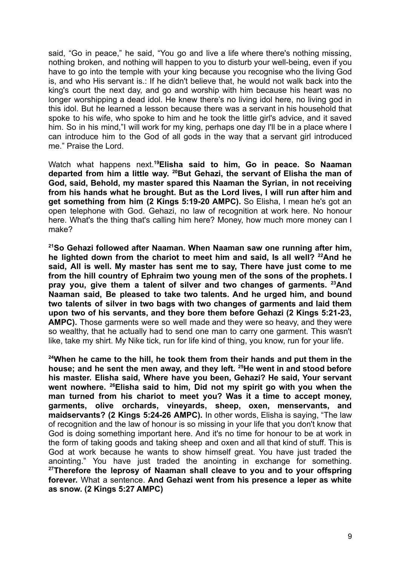said, "Go in peace," he said, "You go and live a life where there's nothing missing, nothing broken, and nothing will happen to you to disturb your well-being, even if you have to go into the temple with your king because you recognise who the living God is, and who His servant is.: If he didn't believe that, he would not walk back into the king's court the next day, and go and worship with him because his heart was no longer worshipping a dead idol. He knew there's no living idol here, no living god in this idol. But he learned a lesson because there was a servant in his household that spoke to his wife, who spoke to him and he took the little girl's advice, and it saved him. So in his mind,"I will work for my king, perhaps one day I'll be in a place where I can introduce him to the God of all gods in the way that a servant girl introduced me." Praise the Lord.

Watch what happens next.**<sup>19</sup>Elisha said to him, Go in peace. So Naaman departed from him a little way. <sup>20</sup>But Gehazi, the servant of Elisha the man of God, said, Behold, my master spared this Naaman the Syrian, in not receiving from his hands what he brought. But as the Lord lives, I will run after him and get something from him (2 Kings 5:19-20 AMPC).** So Elisha, I mean he's got an open telephone with God. Gehazi, no law of recognition at work here. No honour here. What's the thing that's calling him here? Money, how much more money can I make?

**<sup>21</sup>So Gehazi followed after Naaman. When Naaman saw one running after him, he lighted down from the chariot to meet him and said, Is all well? <sup>22</sup>And he said, All is well. My master has sent me to say, There have just come to me from the hill country of Ephraim two young men of the sons of the prophets. I pray you, give them a talent of silver and two changes of garments. <sup>23</sup>And Naaman said, Be pleased to take two talents. And he urged him, and bound two talents of silver in two bags with two changes of garments and laid them upon two of his servants, and they bore them before Gehazi (2 Kings 5:21-23, AMPC).** Those garments were so well made and they were so heavy, and they were so wealthy, that he actually had to send one man to carry one garment. This wasn't like, take my shirt. My Nike tick, run for life kind of thing, you know, run for your life.

**<sup>24</sup>When he came to the hill, he took them from their hands and put them in the house; and he sent the men away, and they left. <sup>25</sup>He went in and stood before his master. Elisha said, Where have you been, Gehazi? He said, Your servant went nowhere. <sup>26</sup>Elisha said to him, Did not my spirit go with you when the man turned from his chariot to meet you? Was it a time to accept money, garments, olive orchards, vineyards, sheep, oxen, menservants, and maidservants? (2 Kings 5:24-26 AMPC).** In other words, Elisha is saying, "The law of recognition and the law of honour is so missing in your life that you don't know that God is doing something important here. And it's no time for honour to be at work in the form of taking goods and taking sheep and oxen and all that kind of stuff. This is God at work because he wants to show himself great. You have just traded the anointing." You have just traded the anointing in exchange for something. **<sup>27</sup>Therefore the leprosy of Naaman shall cleave to you and to your offspring forever.** What a sentence. **And Gehazi went from his presence a leper as white as snow. (2 Kings 5:27 AMPC)**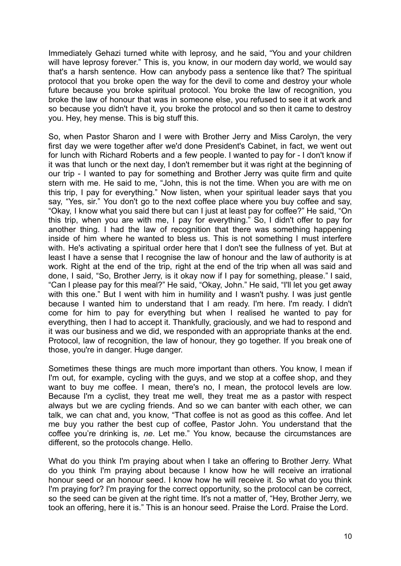Immediately Gehazi turned white with leprosy, and he said, "You and your children will have leprosy forever." This is, you know, in our modern day world, we would say that's a harsh sentence. How can anybody pass a sentence like that? The spiritual protocol that you broke open the way for the devil to come and destroy your whole future because you broke spiritual protocol. You broke the law of recognition, you broke the law of honour that was in someone else, you refused to see it at work and so because you didn't have it, you broke the protocol and so then it came to destroy you. Hey, hey mense. This is big stuff this.

So, when Pastor Sharon and I were with Brother Jerry and Miss Carolyn, the very first day we were together after we'd done President's Cabinet, in fact, we went out for lunch with Richard Roberts and a few people. I wanted to pay for - I don't know if it was that lunch or the next day, I don't remember but it was right at the beginning of our trip - I wanted to pay for something and Brother Jerry was quite firm and quite stern with me. He said to me, "John, this is not the time. When you are with me on this trip, I pay for everything." Now listen, when your spiritual leader says that you say, "Yes, sir." You don't go to the next coffee place where you buy coffee and say, "Okay, I know what you said there but can I just at least pay for coffee?" He said, "On this trip, when you are with me, I pay for everything." So, I didn't offer to pay for another thing. I had the law of recognition that there was something happening inside of him where he wanted to bless us. This is not something I must interfere with. He's activating a spiritual order here that I don't see the fullness of yet. But at least I have a sense that I recognise the law of honour and the law of authority is at work. Right at the end of the trip, right at the end of the trip when all was said and done, I said, "So, Brother Jerry, is it okay now if I pay for something, please." I said, "Can I please pay for this meal?" He said, "Okay, John." He said, "I'll let you get away with this one." But I went with him in humility and I wasn't pushy. I was just gentle because I wanted him to understand that I am ready. I'm here. I'm ready. I didn't come for him to pay for everything but when I realised he wanted to pay for everything, then I had to accept it. Thankfully, graciously, and we had to respond and it was our business and we did, we responded with an appropriate thanks at the end. Protocol, law of recognition, the law of honour, they go together. If you break one of those, you're in danger. Huge danger.

Sometimes these things are much more important than others. You know, I mean if I'm out, for example, cycling with the guys, and we stop at a coffee shop, and they want to buy me coffee. I mean, there's no, I mean, the protocol levels are low. Because I'm a cyclist, they treat me well, they treat me as a pastor with respect always but we are cycling friends. And so we can banter with each other, we can talk, we can chat and, you know, "That coffee is not as good as this coffee. And let me buy you rather the best cup of coffee, Pastor John. You understand that the coffee you're drinking is, *ne*. Let me." You know, because the circumstances are different, so the protocols change. Hello.

What do you think I'm praying about when I take an offering to Brother Jerry. What do you think I'm praying about because I know how he will receive an irrational honour seed or an honour seed. I know how he will receive it. So what do you think I'm praying for? I'm praying for the correct opportunity, so the protocol can be correct, so the seed can be given at the right time. It's not a matter of, "Hey, Brother Jerry, we took an offering, here it is." This is an honour seed. Praise the Lord. Praise the Lord.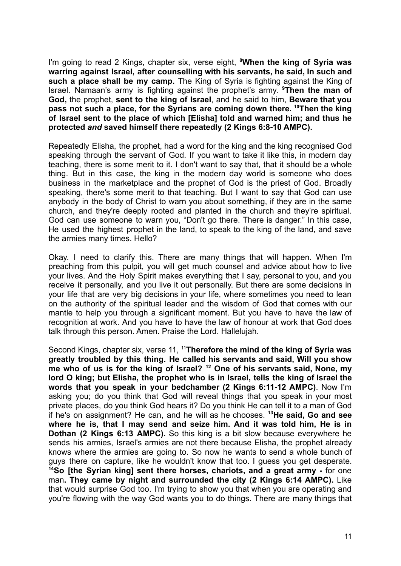I'm going to read 2 Kings, chapter six, verse eight, **<sup>8</sup>When the king of Syria was warring against Israel, after counselling with his servants, he said, In such and such a place shall be my camp.** The King of Syria is fighting against the King of Israel. Namaan's army is fighting against the prophet's army. **<sup>9</sup>Then the man of God,** the prophet, **sent to the king of Israel**, and he said to him, **Beware that you pass not such a place, for the Syrians are coming down there. <sup>10</sup>Then the king of Israel sent to the place of which [Elisha] told and warned him; and thus he protected** *and* **saved himself there repeatedly (2 Kings 6:8-10 AMPC).**

Repeatedly Elisha, the prophet, had a word for the king and the king recognised God speaking through the servant of God. If you want to take it like this, in modern day teaching, there is some merit to it. I don't want to say that, that it should be a whole thing. But in this case, the king in the modern day world is someone who does business in the marketplace and the prophet of God is the priest of God. Broadly speaking, there's some merit to that teaching. But I want to say that God can use anybody in the body of Christ to warn you about something, if they are in the same church, and they're deeply rooted and planted in the church and they're spiritual. God can use someone to warn you, "Don't go there. There is danger." In this case, He used the highest prophet in the land, to speak to the king of the land, and save the armies many times. Hello?

Okay. I need to clarify this. There are many things that will happen. When I'm preaching from this pulpit, you will get much counsel and advice about how to live your lives. And the Holy Spirit makes everything that I say, personal to you, and you receive it personally, and you live it out personally. But there are some decisions in your life that are very big decisions in your life, where sometimes you need to lean on the authority of the spiritual leader and the wisdom of God that comes with our mantle to help you through a significant moment. But you have to have the law of recognition at work. And you have to have the law of honour at work that God does talk through this person. Amen. Praise the Lord. Hallelujah.

Second Kings, chapter six, verse 11, <sup>11</sup>**Therefore the mind of the king of Syria was greatly troubled by this thing. He called his servants and said, Will you show me who of us is for the king of Israel? <sup>12</sup> One of his servants said, None, my lord O king; but Elisha, the prophet who is in Israel, tells the king of Israel the words that you speak in your bedchamber (2 Kings 6:11-12 AMPC)**. Now I'm asking you; do you think that God will reveal things that you speak in your most private places, do you think God hears it? Do you think He can tell it to a man of God if he's on assignment? He can, and he will as he chooses. **<sup>13</sup>He said, Go and see where he is, that I may send and seize him. And it was told him, He is in Dothan (2 Kings 6:13 AMPC).** So this king is a bit slow because everywhere he sends his armies, Israel's armies are not there because Elisha, the prophet already knows where the armies are going to. So now he wants to send a whole bunch of guys there on capture, like he wouldn't know that too. I guess you get desperate. **<sup>14</sup>So [the Syrian king] sent there horses, chariots, and a great army -** for one man**. They came by night and surrounded the city (2 Kings 6:14 AMPC).** Like that would surprise God too. I'm trying to show you that when you are operating and you're flowing with the way God wants you to do things. There are many things that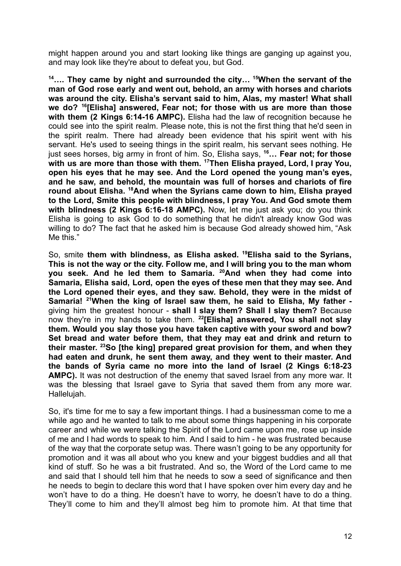might happen around you and start looking like things are ganging up against you, and may look like they're about to defeat you, but God.

**<sup>14</sup>…. They came by night and surrounded the city… <sup>15</sup>When the servant of the man of God rose early and went out, behold, an army with horses and chariots was around the city. Elisha's servant said to him, Alas, my master! What shall we do? <sup>16</sup> [Elisha] answered, Fear not; for those with us are more than those with them (2 Kings 6:14-16 AMPC).** Elisha had the law of recognition because he could see into the spirit realm. Please note, this is not the first thing that he'd seen in the spirit realm. There had already been evidence that his spirit went with his servant. He's used to seeing things in the spirit realm, his servant sees nothing. He just sees horses, big army in front of him. So, Elisha says, **<sup>16</sup>… Fear not; for those with us are more than those with them. <sup>17</sup>Then Elisha prayed, Lord, I pray You, open his eyes that he may see. And the Lord opened the young man's eyes, and he saw, and behold, the mountain was full of horses and chariots of fire round about Elisha. <sup>18</sup>And when the Syrians came down to him, Elisha prayed to the Lord, Smite this people with blindness, I pray You. And God smote them with blindness (2 Kings 6:16-18 AMPC).** Now, let me just ask you; do you think Elisha is going to ask God to do something that he didn't already know God was willing to do? The fact that he asked him is because God already showed him, "Ask Me this."

So, smite **them with blindness, as Elisha asked. <sup>19</sup>Elisha said to the Syrians, This is not the way or the city. Follow me, and I will bring you to the man whom you seek. And he led them to Samaria. <sup>20</sup>And when they had come into Samaria, Elisha said, Lord, open the eyes of these men that they may see. And the Lord opened their eyes, and they saw. Behold, they were in the midst of Samaria! <sup>21</sup>When the king of Israel saw them, he said to Elisha, My father**  giving him the greatest honour - **shall I slay them? Shall I slay them?** Because now they're in my hands to take them. **<sup>22</sup> [Elisha] answered, You shall not slay them. Would you slay those you have taken captive with your sword and bow? Set bread and water before them, that they may eat and drink and return to their master. <sup>23</sup>So [the king] prepared great provision for them, and when they had eaten and drunk, he sent them away, and they went to their master. And the bands of Syria came no more into the land of Israel (2 Kings 6:18-23 AMPC).** It was not destruction of the enemy that saved Israel from any more war. It was the blessing that Israel gave to Syria that saved them from any more war. Hallelujah.

So, it's time for me to say a few important things. I had a businessman come to me a while ago and he wanted to talk to me about some things happening in his corporate career and while we were talking the Spirit of the Lord came upon me, rose up inside of me and I had words to speak to him. And I said to him - he was frustrated because of the way that the corporate setup was. There wasn't going to be any opportunity for promotion and it was all about who you knew and your biggest buddies and all that kind of stuff. So he was a bit frustrated. And so, the Word of the Lord came to me and said that I should tell him that he needs to sow a seed of significance and then he needs to begin to declare this word that I have spoken over him every day and he won't have to do a thing. He doesn't have to worry, he doesn't have to do a thing. They'll come to him and they'll almost beg him to promote him. At that time that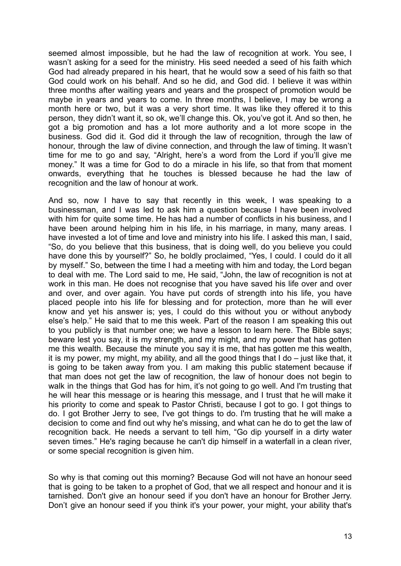seemed almost impossible, but he had the law of recognition at work. You see, I wasn't asking for a seed for the ministry. His seed needed a seed of his faith which God had already prepared in his heart, that he would sow a seed of his faith so that God could work on his behalf. And so he did, and God did. I believe it was within three months after waiting years and years and the prospect of promotion would be maybe in years and years to come. In three months, I believe, I may be wrong a month here or two, but it was a very short time. It was like they offered it to this person, they didn't want it, so ok, we'll change this. Ok, you've got it. And so then, he got a big promotion and has a lot more authority and a lot more scope in the business. God did it. God did it through the law of recognition, through the law of honour, through the law of divine connection, and through the law of timing. It wasn't time for me to go and say, "Alright, here's a word from the Lord if you'll give me money." It was a time for God to do a miracle in his life, so that from that moment onwards, everything that he touches is blessed because he had the law of recognition and the law of honour at work.

And so, now I have to say that recently in this week, I was speaking to a businessman, and I was led to ask him a question because I have been involved with him for quite some time. He has had a number of conflicts in his business, and I have been around helping him in his life, in his marriage, in many, many areas. I have invested a lot of time and love and ministry into his life. I asked this man, I said, "So, do you believe that this business, that is doing well, do you believe you could have done this by yourself?" So, he boldly proclaimed, "Yes, I could. I could do it all by myself." So, between the time I had a meeting with him and today, the Lord began to deal with me. The Lord said to me, He said, "John, the law of recognition is not at work in this man. He does not recognise that you have saved his life over and over and over, and over again. You have put cords of strength into his life, you have placed people into his life for blessing and for protection, more than he will ever know and yet his answer is; yes, I could do this without you or without anybody else's help." He said that to me this week. Part of the reason I am speaking this out to you publicly is that number one; we have a lesson to learn here. The Bible says; beware lest you say, it is my strength, and my might, and my power that has gotten me this wealth. Because the minute you say it is me, that has gotten me this wealth, it is my power, my might, my ability, and all the good things that I do – just like that, it is going to be taken away from you. I am making this public statement because if that man does not get the law of recognition, the law of honour does not begin to walk in the things that God has for him, it's not going to go well. And I'm trusting that he will hear this message or is hearing this message, and I trust that he will make it his priority to come and speak to Pastor Christi, because I got to go. I got things to do. I got Brother Jerry to see, I've got things to do. I'm trusting that he will make a decision to come and find out why he's missing, and what can he do to get the law of recognition back. He needs a servant to tell him, "Go dip yourself in a dirty water seven times." He's raging because he can't dip himself in a waterfall in a clean river, or some special recognition is given him.

So why is that coming out this morning? Because God will not have an honour seed that is going to be taken to a prophet of God, that we all respect and honour and it is tarnished. Don't give an honour seed if you don't have an honour for Brother Jerry. Don't give an honour seed if you think it's your power, your might, your ability that's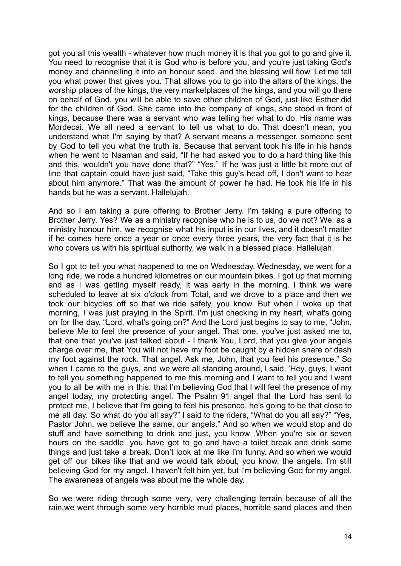got you all this wealth - whatever how much money it is that you got to go and give it. You need to recognise that it is God who is before you, and you're just taking God's money and channelling it into an honour seed, and the blessing will flow. Let me tell you what power that gives you. That allows you to go into the altars of the kings, the worship places of the kings, the very marketplaces of the kings, and you will go there on behalf of God, you will be able to save other children of God, just like Esther did for the children of God. She came into the company of kings, she stood in front of kings, because there was a servant who was telling her what to do. His name was Mordecai. We all need a servant to tell us what to do. That doesn't mean, you understand what I'm saying by that? A servant means a messenger, someone sent by God to tell you what the truth is. Because that servant took his life in his hands when he went to Naaman and said, "If he had asked you to do a hard thing like this and this, wouldn't you have done that?" "Yes." If he was just a little bit more out of line that captain could have just said, "Take this guy's head off, I don't want to hear about him anymore." That was the amount of power he had. He took his life in his hands but he was a servant. Hallelujah.

And so I am taking a pure offering to Brother Jerry. I'm taking a pure offering to Brother Jerry. Yes? We as a ministry recognise who he is to us, do we not? We, as a ministry honour him, we recognise what his input is in our lives, and it doesn't matter if he comes here once a year or once every three years, the very fact that it is he who covers us with his spiritual authority, we walk in a blessed place. Hallelujah.

So I got to tell you what happened to me on Wednesday. Wednesday, we went for a long ride, we rode a hundred kilometres on our mountain bikes. I got up that morning and as I was getting myself ready, it was early in the morning. I think we were scheduled to leave at six o'clock from Total, and we drove to a place and then we took our bicycles off so that we ride safely, you know. But when I woke up that morning, I was just praying in the Spirit. I'm just checking in my heart, what's going on for the day, "Lord, what's going on?" And the Lord just begins to say to me, "John, believe Me to feel the presence of your angel. That one, you've just asked me to, that one that you've just talked about - I thank You, Lord, that you give your angels charge over me, that You will not have my foot be caught by a hidden snare or dash my foot against the rock. That angel. Ask me, John, that you feel his presence." So when I came to the guys, and we were all standing around, I said, 'Hey, guys, I want to tell you something happened to me this morning and I want to tell you and I want you to all be with me in this, that I'm believing God that I will feel the presence of my angel today, my protecting angel. The Psalm 91 angel that the Lord has sent to protect me, I believe that I'm going to feel his presence, he's going to be that close to me all day. So what do you all say?" I said to the riders, "What do you all say?" "Yes, Pastor John, we believe the same, our angels." And so when we would stop and do stuff and have something to drink and just, you know .When you're six or seven hours on the saddle, you have got to go and have a toilet break and drink some things and just take a break. Don't look at me like I'm funny. And so when we would get off our bikes like that and we would talk about, you know, the angels. I'm still believing God for my angel. I haven't felt him yet, but I'm believing God for my angel. The awareness of angels was about me the whole day.

So we were riding through some very, very challenging terrain because of all the rain,we went through some very horrible mud places, horrible sand places and then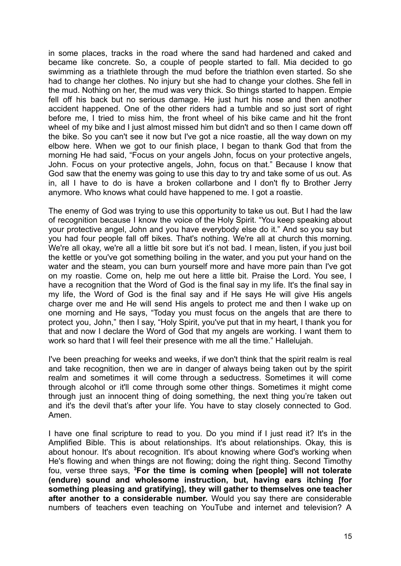in some places, tracks in the road where the sand had hardened and caked and became like concrete. So, a couple of people started to fall. Mia decided to go swimming as a triathlete through the mud before the triathlon even started. So she had to change her clothes. No injury but she had to change your clothes. She fell in the mud. Nothing on her, the mud was very thick. So things started to happen. Empie fell off his back but no serious damage. He just hurt his nose and then another accident happened. One of the other riders had a tumble and so just sort of right before me, I tried to miss him, the front wheel of his bike came and hit the front wheel of my bike and I just almost missed him but didn't and so then I came down off the bike. So you can't see it now but I've got a nice roastie, all the way down on my elbow here. When we got to our finish place, I began to thank God that from the morning He had said, "Focus on your angels John, focus on your protective angels, John. Focus on your protective angels, John, focus on that." Because I know that God saw that the enemy was going to use this day to try and take some of us out. As in, all I have to do is have a broken collarbone and I don't fly to Brother Jerry anymore. Who knows what could have happened to me. I got a roastie.

The enemy of God was trying to use this opportunity to take us out. But I had the law of recognition because I know the voice of the Holy Spirit. "You keep speaking about your protective angel, John and you have everybody else do it." And so you say but you had four people fall off bikes. That's nothing. We're all at church this morning. We're all okay, we're all a little bit sore but it's not bad. I mean, listen, if you just boil the kettle or you've got something boiling in the water, and you put your hand on the water and the steam, you can burn yourself more and have more pain than I've got on my roastie. Come on, help me out here a little bit. Praise the Lord. You see, I have a recognition that the Word of God is the final say in my life. It's the final say in my life, the Word of God is the final say and if He says He will give His angels charge over me and He will send His angels to protect me and then I wake up on one morning and He says, "Today you must focus on the angels that are there to protect you, John," then I say, "Holy Spirit, you've put that in my heart, I thank you for that and now I declare the Word of God that my angels are working. I want them to work so hard that I will feel their presence with me all the time." Hallelujah.

I've been preaching for weeks and weeks, if we don't think that the spirit realm is real and take recognition, then we are in danger of always being taken out by the spirit realm and sometimes it will come through a seductress. Sometimes it will come through alcohol or it'll come through some other things. Sometimes it might come through just an innocent thing of doing something, the next thing you're taken out and it's the devil that's after your life. You have to stay closely connected to God. Amen.

I have one final scripture to read to you. Do you mind if I just read it? It's in the Amplified Bible. This is about relationships. It's about relationships. Okay, this is about honour. It's about recognition. It's about knowing where God's working when He's flowing and when things are not flowing; doing the right thing. Second Timothy fou, verse three says, **<sup>3</sup>For the time is coming when [people] will not tolerate (endure) sound and wholesome instruction, but, having ears itching [for something pleasing and gratifying], they will gather to themselves one teacher after another to a considerable number.** Would you say there are considerable numbers of teachers even teaching on YouTube and internet and television? A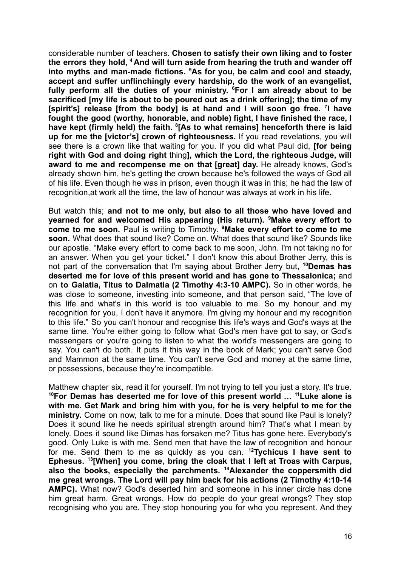considerable number of teachers. **Chosen to satisfy their own liking and to foster the errors they hold, <sup>4</sup> And will turn aside from hearing the truth and wander off into myths and man-made fictions. <sup>5</sup>As for you, be calm and cool and steady, accept and suffer unflinchingly every hardship, do the work of an evangelist, fully perform all the duties of your ministry. <sup>6</sup>For I am already about to be sacrificed [my life is about to be poured out as a drink offering]; the time of my [spirit's] release [from the body] is at hand and I will soon go free. <sup>7</sup> I have fought the good (worthy, honorable, and noble) fight, I have finished the race, I have kept (firmly held) the faith. <sup>8</sup> [As to what remains] henceforth there is laid up for me the [victor's] crown of righteousness.** If you read revelations, you will see there is a crown like that waiting for you. If you did what Paul did, **[for being right with God and doing right** thing**], which the Lord, the righteous Judge, will award to me and recompense me on that [great] day.** He already knows, God's already shown him, he's getting the crown because he's followed the ways of God all of his life. Even though he was in prison, even though it was in this; he had the law of recognition,at work all the time, the law of honour was always at work in his life.

But watch this; **and not to me only, but also to all those who have loved and yearned for and welcomed His appearing (His return). <sup>9</sup>Make every effort to come to me soon.** Paul is writing to Timothy. **<sup>9</sup>Make every effort to come to me soon.** What does that sound like? Come on. What does that sound like? Sounds like our apostle. "Make every effort to come back to me soon, John. I'm not taking no for an answer. When you get your ticket." I don't know this about Brother Jerry, this is not part of the conversation that I'm saying about Brother Jerry but, **<sup>10</sup>Demas has deserted me for love of this present world and has gone to Thessalonica;** and on **to Galatia, Titus to Dalmatia (2 Timothy 4:3-10 AMPC).** So in other words, he was close to someone, investing into someone, and that person said, "The love of this life and what's in this world is too valuable to me. So my honour and my recognition for you, I don't have it anymore. I'm giving my honour and my recognition to this life." So you can't honour and recognise this life's ways and God's ways at the same time. You're either going to follow what God's men have got to say, or God's messengers or you're going to listen to what the world's messengers are going to say. You can't do both. It puts it this way in the book of Mark; you can't serve God and Mammon at the same time. You can't serve God and money at the same time, or possessions, because they're incompatible.

Matthew chapter six, read it for yourself. I'm not trying to tell you just a story. It's true. **<sup>10</sup>For Demas has deserted me for love of this present world … <sup>11</sup>Luke alone is with me. Get Mark and bring him with you, for he is very helpful to me for the ministry.** Come on now, talk to me for a minute. Does that sound like Paul is lonely? Does it sound like he needs spiritual strength around him? That's what I mean by lonely. Does it sound like Dimas has forsaken me? Titus has gone here. Everybody's good. Only Luke is with me. Send men that have the law of recognition and honour for me. Send them to me as quickly as you can. **<sup>12</sup>Tychicus I have sent to Ephesus. <sup>13</sup> [When] you come, bring the cloak that I left at Troas with Carpus, also the books, especially the parchments. <sup>14</sup>Alexander the coppersmith did me great wrongs. The Lord will pay him back for his actions (2 Timothy 4:10-14 AMPC).** What now? God's deserted him and someone in his inner circle has done him great harm. Great wrongs. How do people do your great wrongs? They stop recognising who you are. They stop honouring you for who you represent. And they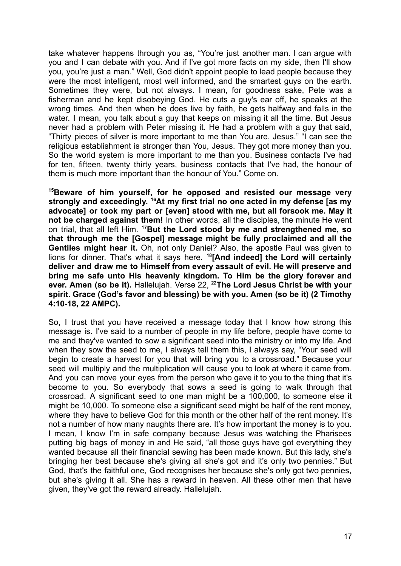take whatever happens through you as, "You're just another man. I can argue with you and I can debate with you. And if I've got more facts on my side, then I'll show you, you're just a man." Well, God didn't appoint people to lead people because they were the most intelligent, most well informed, and the smartest guys on the earth. Sometimes they were, but not always. I mean, for goodness sake, Pete was a fisherman and he kept disobeying God. He cuts a guy's ear off, he speaks at the wrong times. And then when he does live by faith, he gets halfway and falls in the water. I mean, you talk about a guy that keeps on missing it all the time. But Jesus never had a problem with Peter missing it. He had a problem with a guy that said, "Thirty pieces of silver is more important to me than You are, Jesus." "I can see the religious establishment is stronger than You, Jesus. They got more money than you. So the world system is more important to me than you. Business contacts I've had for ten, fifteen, twenty thirty years, business contacts that I've had, the honour of them is much more important than the honour of You." Come on.

**<sup>15</sup>Beware of him yourself, for he opposed and resisted our message very strongly and exceedingly. <sup>16</sup>At my first trial no one acted in my defense [as my advocate] or took my part or [even] stood with me, but all forsook me. May it not be charged against them!** In other words, all the disciples, the minute He went on trial, that all left Him. **<sup>17</sup>But the Lord stood by me and strengthened me, so that through me the [Gospel] message might be fully proclaimed and all the Gentiles might hear it.** Oh, not only Daniel? Also, the apostle Paul was given to lions for dinner. That's what it says here. **<sup>18</sup> [And indeed] the Lord will certainly deliver and draw me to Himself from every assault of evil. He will preserve and bring me safe unto His heavenly kingdom. To Him be the glory forever and ever. Amen (so be it).** Hallelujah. Verse 22, **<sup>22</sup>The Lord Jesus Christ be with your spirit. Grace (God's favor and blessing) be with you. Amen (so be it) (2 Timothy 4:10-18, 22 AMPC).**

So, I trust that you have received a message today that I know how strong this message is. I've said to a number of people in my life before, people have come to me and they've wanted to sow a significant seed into the ministry or into my life. And when they sow the seed to me, I always tell them this, I always say, "Your seed will begin to create a harvest for you that will bring you to a crossroad." Because your seed will multiply and the multiplication will cause you to look at where it came from. And you can move your eyes from the person who gave it to you to the thing that it's become to you. So everybody that sows a seed is going to walk through that crossroad. A significant seed to one man might be a 100,000, to someone else it might be 10,000. To someone else a significant seed might be half of the rent money, where they have to believe God for this month or the other half of the rent money. It's not a number of how many naughts there are. It's how important the money is to you. I mean, I know I'm in safe company because Jesus was watching the Pharisees putting big bags of money in and He said, "all those guys have got everything they wanted because all their financial sewing has been made known. But this lady, she's bringing her best because she's giving all she's got and it's only two pennies." But God, that's the faithful one, God recognises her because she's only got two pennies, but she's giving it all. She has a reward in heaven. All these other men that have given, they've got the reward already. Hallelujah.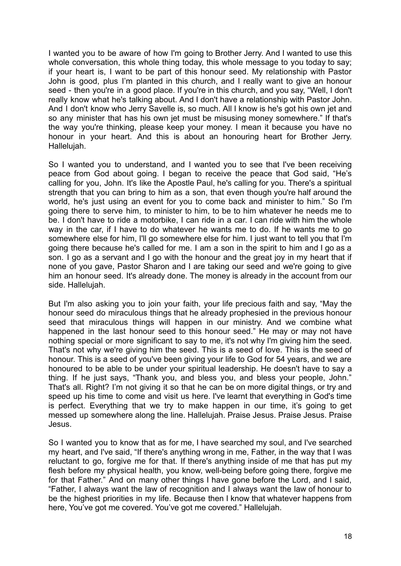I wanted you to be aware of how I'm going to Brother Jerry. And I wanted to use this whole conversation, this whole thing today, this whole message to you today to say; if your heart is, I want to be part of this honour seed. My relationship with Pastor John is good, plus I'm planted in this church, and I really want to give an honour seed - then you're in a good place. If you're in this church, and you say, "Well, I don't really know what he's talking about. And I don't have a relationship with Pastor John. And I don't know who Jerry Savelle is, so much. All I know is he's got his own jet and so any minister that has his own jet must be misusing money somewhere." If that's the way you're thinking, please keep your money. I mean it because you have no honour in your heart. And this is about an honouring heart for Brother Jerry. Hallelujah.

So I wanted you to understand, and I wanted you to see that I've been receiving peace from God about going. I began to receive the peace that God said, "He's calling for you, John. It's like the Apostle Paul, he's calling for you. There's a spiritual strength that you can bring to him as a son, that even though you're half around the world, he's just using an event for you to come back and minister to him." So I'm going there to serve him, to minister to him, to be to him whatever he needs me to be. I don't have to ride a motorbike, I can ride in a car. I can ride with him the whole way in the car, if I have to do whatever he wants me to do. If he wants me to go somewhere else for him, I'll go somewhere else for him. I just want to tell you that I'm going there because he's called for me. I am a son in the spirit to him and I go as a son. I go as a servant and I go with the honour and the great joy in my heart that if none of you gave, Pastor Sharon and I are taking our seed and we're going to give him an honour seed. It's already done. The money is already in the account from our side. Hallelujah.

But I'm also asking you to join your faith, your life precious faith and say, "May the honour seed do miraculous things that he already prophesied in the previous honour seed that miraculous things will happen in our ministry. And we combine what happened in the last honour seed to this honour seed." He may or may not have nothing special or more significant to say to me, it's not why I'm giving him the seed. That's not why we're giving him the seed. This is a seed of love. This is the seed of honour. This is a seed of you've been giving your life to God for 54 years, and we are honoured to be able to be under your spiritual leadership. He doesn't have to say a thing. If he just says, "Thank you, and bless you, and bless your people, John." That's all. Right? I'm not giving it so that he can be on more digital things, or try and speed up his time to come and visit us here. I've learnt that everything in God's time is perfect. Everything that we try to make happen in our time, it's going to get messed up somewhere along the line. Hallelujah. Praise Jesus. Praise Jesus. Praise Jesus.

So I wanted you to know that as for me, I have searched my soul, and I've searched my heart, and I've said, "If there's anything wrong in me, Father, in the way that I was reluctant to go, forgive me for that. If there's anything inside of me that has put my flesh before my physical health, you know, well-being before going there, forgive me for that Father." And on many other things I have gone before the Lord, and I said, "Father, I always want the law of recognition and I always want the law of honour to be the highest priorities in my life. Because then I know that whatever happens from here, You've got me covered. You've got me covered." Hallelujah.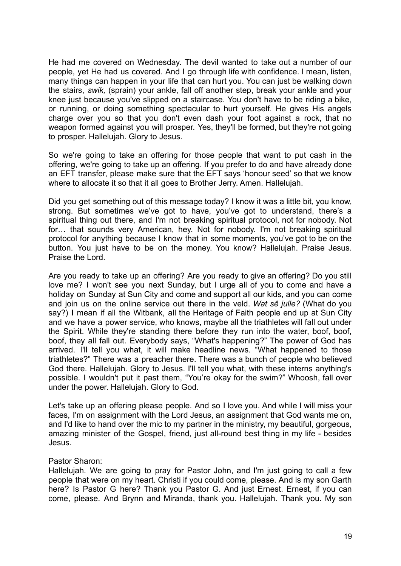He had me covered on Wednesday. The devil wanted to take out a number of our people, yet He had us covered. And I go through life with confidence. I mean, listen, many things can happen in your life that can hurt you. You can just be walking down the stairs, *swik,* (sprain) your ankle, fall off another step, break your ankle and your knee just because you've slipped on a staircase. You don't have to be riding a bike, or running, or doing something spectacular to hurt yourself. He gives His angels charge over you so that you don't even dash your foot against a rock, that no weapon formed against you will prosper. Yes, they'll be formed, but they're not going to prosper. Hallelujah. Glory to Jesus.

So we're going to take an offering for those people that want to put cash in the offering, we're going to take up an offering. If you prefer to do and have already done an EFT transfer, please make sure that the EFT says 'honour seed' so that we know where to allocate it so that it all goes to Brother Jerry. Amen. Hallelujah.

Did you get something out of this message today? I know it was a little bit, you know, strong. But sometimes we've got to have, you've got to understand, there's a spiritual thing out there, and I'm not breaking spiritual protocol, not for nobody. Not for… that sounds very American, hey. Not for nobody. I'm not breaking spiritual protocol for anything because I know that in some moments, you've got to be on the button. You just have to be on the money. You know? Hallelujah. Praise Jesus. Praise the Lord.

Are you ready to take up an offering? Are you ready to give an offering? Do you still love me? I won't see you next Sunday, but I urge all of you to come and have a holiday on Sunday at Sun City and come and support all our kids, and you can come and join us on the online service out there in the veld. *Wat sê julle?* (What do you say?) I mean if all the Witbank, all the Heritage of Faith people end up at Sun City and we have a power service, who knows, maybe all the triathletes will fall out under the Spirit. While they're standing there before they run into the water, boof, boof, boof, they all fall out. Everybody says, "What's happening?" The power of God has arrived. I'll tell you what, it will make headline news. "What happened to those triathletes?" There was a preacher there. There was a bunch of people who believed God there. Hallelujah. Glory to Jesus. I'll tell you what, with these interns anything's possible. I wouldn't put it past them, "You're okay for the swim?" Whoosh, fall over under the power. Hallelujah. Glory to God.

Let's take up an offering please people. And so I love you. And while I will miss your faces, I'm on assignment with the Lord Jesus, an assignment that God wants me on, and I'd like to hand over the mic to my partner in the ministry, my beautiful, gorgeous, amazing minister of the Gospel, friend, just all-round best thing in my life - besides Jesus.

## Pastor Sharon:

Hallelujah. We are going to pray for Pastor John, and I'm just going to call a few people that were on my heart. Christi if you could come, please. And is my son Garth here? Is Pastor G here? Thank you Pastor G. And just Ernest. Ernest, if you can come, please. And Brynn and Miranda, thank you. Hallelujah. Thank you. My son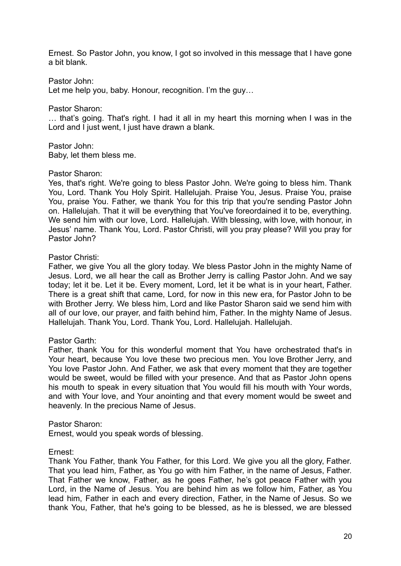Ernest. So Pastor John, you know, I got so involved in this message that I have gone a bit blank.

Pastor John:

Let me help you, baby. Honour, recognition. I'm the guy…

Pastor Sharon:

… that's going. That's right. I had it all in my heart this morning when I was in the Lord and I just went, I just have drawn a blank.

Pastor John: Baby, let them bless me.

#### Pastor Sharon:

Yes, that's right. We're going to bless Pastor John. We're going to bless him. Thank You, Lord. Thank You Holy Spirit. Hallelujah. Praise You, Jesus. Praise You, praise You, praise You. Father, we thank You for this trip that you're sending Pastor John on. Hallelujah. That it will be everything that You've foreordained it to be, everything. We send him with our love, Lord. Halleluiah. With blessing, with love, with honour, in Jesus' name. Thank You, Lord. Pastor Christi, will you pray please? Will you pray for Pastor John?

### Pastor Christi:

Father, we give You all the glory today. We bless Pastor John in the mighty Name of Jesus. Lord, we all hear the call as Brother Jerry is calling Pastor John. And we say today; let it be. Let it be. Every moment, Lord, let it be what is in your heart, Father. There is a great shift that came, Lord, for now in this new era, for Pastor John to be with Brother Jerry. We bless him, Lord and like Pastor Sharon said we send him with all of our love, our prayer, and faith behind him, Father. In the mighty Name of Jesus. Hallelujah. Thank You, Lord. Thank You, Lord. Hallelujah. Hallelujah.

## Pastor Garth:

Father, thank You for this wonderful moment that You have orchestrated that's in Your heart, because You love these two precious men. You love Brother Jerry, and You love Pastor John. And Father, we ask that every moment that they are together would be sweet, would be filled with your presence. And that as Pastor John opens his mouth to speak in every situation that You would fill his mouth with Your words, and with Your love, and Your anointing and that every moment would be sweet and heavenly. In the precious Name of Jesus.

#### Pastor Sharon:

Ernest, would you speak words of blessing.

#### Ernest:

Thank You Father, thank You Father, for this Lord. We give you all the glory, Father. That you lead him, Father, as You go with him Father, in the name of Jesus, Father. That Father we know, Father, as he goes Father, he's got peace Father with you Lord, in the Name of Jesus. You are behind him as we follow him, Father, as You lead him, Father in each and every direction, Father, in the Name of Jesus. So we thank You, Father, that he's going to be blessed, as he is blessed, we are blessed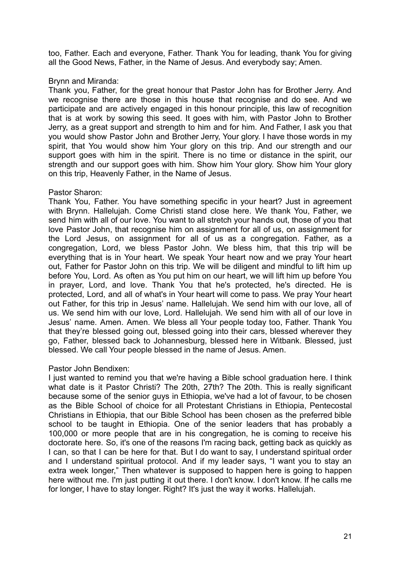too, Father. Each and everyone, Father. Thank You for leading, thank You for giving all the Good News, Father, in the Name of Jesus. And everybody say; Amen.

## Brynn and Miranda:

Thank you, Father, for the great honour that Pastor John has for Brother Jerry. And we recognise there are those in this house that recognise and do see. And we participate and are actively engaged in this honour principle, this law of recognition that is at work by sowing this seed. It goes with him, with Pastor John to Brother Jerry, as a great support and strength to him and for him. And Father, I ask you that you would show Pastor John and Brother Jerry, Your glory. I have those words in my spirit, that You would show him Your glory on this trip. And our strength and our support goes with him in the spirit. There is no time or distance in the spirit, our strength and our support goes with him. Show him Your glory. Show him Your glory on this trip, Heavenly Father, in the Name of Jesus.

## Pastor Sharon:

Thank You, Father. You have something specific in your heart? Just in agreement with Brynn. Hallelujah. Come Christi stand close here. We thank You, Father, we send him with all of our love. You want to all stretch your hands out, those of you that love Pastor John, that recognise him on assignment for all of us, on assignment for the Lord Jesus, on assignment for all of us as a congregation. Father, as a congregation, Lord, we bless Pastor John. We bless him, that this trip will be everything that is in Your heart. We speak Your heart now and we pray Your heart out, Father for Pastor John on this trip. We will be diligent and mindful to lift him up before You, Lord. As often as You put him on our heart, we will lift him up before You in prayer, Lord, and love. Thank You that he's protected, he's directed. He is protected, Lord, and all of what's in Your heart will come to pass. We pray Your heart out Father, for this trip in Jesus' name. Hallelujah. We send him with our love, all of us. We send him with our love, Lord. Hallelujah. We send him with all of our love in Jesus' name. Amen. Amen. We bless all Your people today too, Father. Thank You that they're blessed going out, blessed going into their cars, blessed wherever they go, Father, blessed back to Johannesburg, blessed here in Witbank. Blessed, just blessed. We call Your people blessed in the name of Jesus. Amen.

# Pastor John Bendixen:

I just wanted to remind you that we're having a Bible school graduation here. I think what date is it Pastor Christi? The 20th, 27th? The 20th. This is really significant because some of the senior guys in Ethiopia, we've had a lot of favour, to be chosen as the Bible School of choice for all Protestant Christians in Ethiopia, Pentecostal Christians in Ethiopia, that our Bible School has been chosen as the preferred bible school to be taught in Ethiopia. One of the senior leaders that has probably a 100,000 or more people that are in his congregation, he is coming to receive his doctorate here. So, it's one of the reasons I'm racing back, getting back as quickly as I can, so that I can be here for that. But I do want to say, I understand spiritual order and I understand spiritual protocol. And if my leader says, "I want you to stay an extra week longer," Then whatever is supposed to happen here is going to happen here without me. I'm just putting it out there. I don't know. I don't know. If he calls me for longer, I have to stay longer. Right? It's just the way it works. Hallelujah.